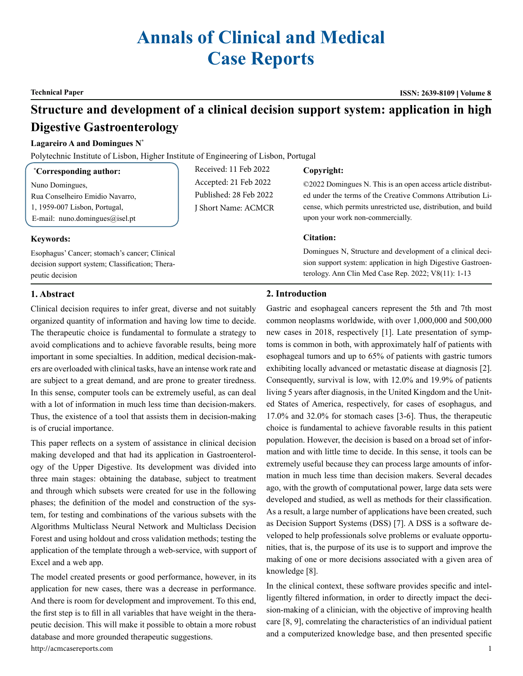# **Annals of Clinical and Medical Case Reports**

**Technical Paper ISSN: 2639-8109 Volume 8**

## **Structure and development of a clinical decision support system: application in high Digestive Gastroenterology**

#### **Lagareiro A and Domingues N\***

Polytechnic Institute of Lisbon, Higher Institute of Engineering of Lisbon, Portugal

| <i>*Corresponding author:</i>   | Received: 11 Feb 2022  | Copyright:                  |
|---------------------------------|------------------------|-----------------------------|
| Nuno Domingues.                 | Accepted: 21 Feb 2022  | ©2022 Domingues N. Tl       |
| Rua Conselheiro Emidio Navarro, | Published: 28 Feb 2022 | ed under the terms of the   |
| 1, 1959-007 Lisbon, Portugal,   | J Short Name: ACMCR    | cense, which permits un     |
| E-mail: nuno.domingues@isel.pt  |                        | upon your work non-con      |
|                                 |                        | $\mathbf{C}$ . $\mathbf{C}$ |

#### **Keywords:**

Esophagus' Cancer; stomach's cancer; Clinical decision support system; Classification; Therapeutic decision

his is an open access article distribute Creative Commons Attribution Lirestricted use, distribution, and build nmercially.

#### **Citation:**

Domingues N, Structure and development of a clinical decision support system: application in high Digestive Gastroenterology. Ann Clin Med Case Rep. 2022; V8(11): 1-13

### **1. Abstract**

Clinical decision requires to infer great, diverse and not suitably organized quantity of information and having low time to decide. The therapeutic choice is fundamental to formulate a strategy to avoid complications and to achieve favorable results, being more important in some specialties. In addition, medical decision-makers are overloaded with clinical tasks, have an intense work rate and are subject to a great demand, and are prone to greater tiredness. In this sense, computer tools can be extremely useful, as can deal with a lot of information in much less time than decision-makers. Thus, the existence of a tool that assists them in decision-making is of crucial importance.

This paper reflects on a system of assistance in clinical decision making developed and that had its application in Gastroenterology of the Upper Digestive. Its development was divided into three main stages: obtaining the database, subject to treatment and through which subsets were created for use in the following phases; the definition of the model and construction of the system, for testing and combinations of the various subsets with the Algorithms Multiclass Neural Network and Multiclass Decision Forest and using holdout and cross validation methods; testing the application of the template through a web-service, with support of Excel and a web app.

The model created presents or good performance, however, in its application for new cases, there was a decrease in performance. And there is room for development and improvement. To this end, the first step is to fill in all variables that have weight in the therapeutic decision. This will make it possible to obtain a more robust database and more grounded therapeutic suggestions.

http://acmcasereports.com 1

#### **2. Introduction**

Gastric and esophageal cancers represent the 5th and 7th most common neoplasms worldwide, with over 1,000,000 and 500,000 new cases in 2018, respectively [1]. Late presentation of symptoms is common in both, with approximately half of patients with esophageal tumors and up to 65% of patients with gastric tumors exhibiting locally advanced or metastatic disease at diagnosis [2]. Consequently, survival is low, with 12.0% and 19.9% of patients living 5 years after diagnosis, in the United Kingdom and the United States of America, respectively, for cases of esophagus, and 17.0% and 32.0% for stomach cases [3-6]. Thus, the therapeutic choice is fundamental to achieve favorable results in this patient population. However, the decision is based on a broad set of information and with little time to decide. In this sense, it tools can be extremely useful because they can process large amounts of information in much less time than decision makers. Several decades ago, with the growth of computational power, large data sets were developed and studied, as well as methods for their classification. As a result, a large number of applications have been created, such as Decision Support Systems (DSS) [7]. A DSS is a software developed to help professionals solve problems or evaluate opportunities, that is, the purpose of its use is to support and improve the making of one or more decisions associated with a given area of knowledge [8].

In the clinical context, these software provides specific and intelligently filtered information, in order to directly impact the decision-making of a clinician, with the objective of improving health care [8, 9], comrelating the characteristics of an individual patient and a computerized knowledge base, and then presented specific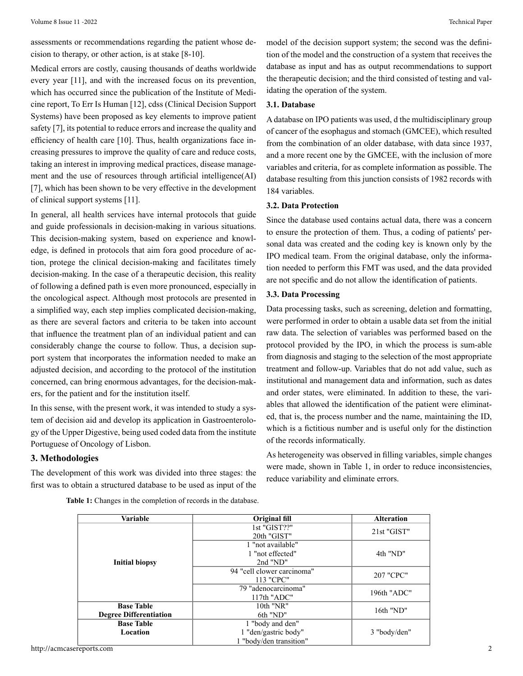assessments or recommendations regarding the patient whose decision to therapy, or other action, is at stake [8-10].

Medical errors are costly, causing thousands of deaths worldwide every year [11], and with the increased focus on its prevention, which has occurred since the publication of the Institute of Medicine report, To Err Is Human [12], cdss (Clinical Decision Support Systems) have been proposed as key elements to improve patient safety [7], its potential to reduce errors and increase the quality and efficiency of health care [10]. Thus, health organizations face increasing pressures to improve the quality of care and reduce costs, taking an interest in improving medical practices, disease management and the use of resources through artificial intelligence(AI) [7], which has been shown to be very effective in the development of clinical support systems [11].

In general, all health services have internal protocols that guide and guide professionals in decision-making in various situations. This decision-making system, based on experience and knowledge, is defined in protocols that aim fora good procedure of action, protege the clinical decision-making and facilitates timely decision-making. In the case of a therapeutic decision, this reality of following a defined path is even more pronounced, especially in the oncological aspect. Although most protocols are presented in a simplified way, each step implies complicated decision-making, as there are several factors and criteria to be taken into account that influence the treatment plan of an individual patient and can considerably change the course to follow. Thus, a decision support system that incorporates the information needed to make an adjusted decision, and according to the protocol of the institution concerned, can bring enormous advantages, for the decision-makers, for the patient and for the institution itself.

In this sense, with the present work, it was intended to study a system of decision aid and develop its application in Gastroenterology of the Upper Digestive, being used coded data from the institute Portuguese of Oncology of Lisbon.

#### **3. Methodologies**

The development of this work was divided into three stages: the first was to obtain a structured database to be used as input of the model of the decision support system; the second was the definition of the model and the construction of a system that receives the database as input and has as output recommendations to support the therapeutic decision; and the third consisted of testing and validating the operation of the system.

#### **3.1. Database**

A database on IPO patients was used, d the multidisciplinary group of cancer of the esophagus and stomach (GMCEE), which resulted from the combination of an older database, with data since 1937, and a more recent one by the GMCEE, with the inclusion of more variables and criteria, for as complete information as possible. The database resulting from this junction consists of 1982 records with 184 variables.

#### **3.2. Data Protection**

Since the database used contains actual data, there was a concern to ensure the protection of them. Thus, a coding of patients' personal data was created and the coding key is known only by the IPO medical team. From the original database, only the information needed to perform this FMT was used, and the data provided are not specific and do not allow the identification of patients.

#### **3.3. Data Processing**

Data processing tasks, such as screening, deletion and formatting, were performed in order to obtain a usable data set from the initial raw data. The selection of variables was performed based on the protocol provided by the IPO, in which the process is sum-able from diagnosis and staging to the selection of the most appropriate treatment and follow-up. Variables that do not add value, such as institutional and management data and information, such as dates and order states, were eliminated. In addition to these, the variables that allowed the identification of the patient were eliminated, that is, the process number and the name, maintaining the ID, which is a fictitious number and is useful only for the distinction of the records informatically.

As heterogeneity was observed in filling variables, simple changes were made, shown in Table 1, in order to reduce inconsistencies, reduce variability and eliminate errors.

| Table 1: Changes in the completion of records in the database. |  |
|----------------------------------------------------------------|--|
|----------------------------------------------------------------|--|

| Variable                                           | Original fill                                       | <b>Alteration</b> |
|----------------------------------------------------|-----------------------------------------------------|-------------------|
|                                                    | 1st "GIST??"<br>20th "GIST"                         | 21st "GIST"       |
| <b>Initial biopsy</b>                              | 1 "not available"<br>1 "not effected"<br>$2nd$ "ND" | 4th "ND"          |
|                                                    | 94 "cell clower carcinoma"<br>113 "CPC"             | 207 "CPC"         |
|                                                    | 79 "adenocarcinoma"<br>$117th$ "ADC"                | 196th "ADC"       |
| <b>Base Table</b><br><b>Degree Differentiation</b> | $10th$ "NR"<br>$16th$ "ND"                          |                   |
| <b>Base Table</b>                                  | 6th "ND"<br>1 "body and den"                        |                   |
| Location                                           | 1 "den/gastric body"<br>1 "body/den transition"     | 3 "body/den"      |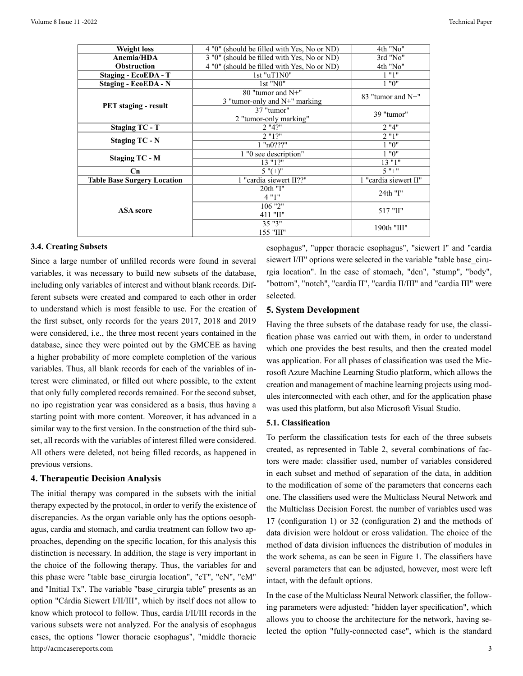| <b>Weight loss</b>                 | 4 "0" (should be filled with Yes, No or ND) | 4th "No"              |
|------------------------------------|---------------------------------------------|-----------------------|
| Anemia/HDA                         | 3 "0" (should be filled with Yes, No or ND) | 3rd "No"              |
| <b>Obstruction</b>                 | 4 "0" (should be filled with Yes, No or ND) | 4th "No"              |
| <b>Staging - EcoEDA - T</b>        | $1st$ "uT $1N0$ "                           | 1"1"                  |
| <b>Staging - EcoEDA - N</b>        | 1st "N0"                                    | 1 "0"                 |
|                                    | 80 "tumor and N+"                           | 83 "tumor and $N+$ "  |
|                                    | 3 "tumor-only and N+" marking               |                       |
| <b>PET</b> staging - result        | 37 "tumor"                                  |                       |
|                                    | 2 "tumor-only marking"                      | 39 "tumor"            |
| <b>Staging TC - T</b>              | $2$ "4?"                                    |                       |
|                                    | $2$ " $12"$                                 | $2$ "1"               |
| <b>Staging TC - N</b>              | $1$ " $n0$ ???"                             | 1 "0"                 |
|                                    | 1 "0 see description"                       | 1 "0"                 |
| <b>Staging TC - M</b>              | 13 "12"                                     | 13 "1"                |
| Cn                                 | $5$ " $(+)$ "                               | $5" +$ "              |
| <b>Table Base Surgery Location</b> | 1 "cardia siewert II??"                     | 1 "cardia siewert II" |
|                                    | 20th "I"                                    | 24th "I"              |
|                                    | 4"1"                                        |                       |
|                                    | $106$ "2"                                   | 517 "II"              |
| <b>ASA</b> score                   | 411 "II"                                    |                       |
|                                    | $35$ " $3$ "                                |                       |
|                                    | 155 "III"                                   | 190th "III"           |

#### **3.4. Creating Subsets**

Since a large number of unfilled records were found in several variables, it was necessary to build new subsets of the database, including only variables of interest and without blank records. Different subsets were created and compared to each other in order to understand which is most feasible to use. For the creation of the first subset, only records for the years 2017, 2018 and 2019 were considered, i.e., the three most recent years contained in the database, since they were pointed out by the GMCEE as having a higher probability of more complete completion of the various variables. Thus, all blank records for each of the variables of interest were eliminated, or filled out where possible, to the extent that only fully completed records remained. For the second subset, no ipo registration year was considered as a basis, thus having a starting point with more content. Moreover, it has advanced in a similar way to the first version. In the construction of the third subset, all records with the variables of interest filled were considered. All others were deleted, not being filled records, as happened in previous versions.

#### **4. Therapeutic Decision Analysis**

http://acmcasereports.com 3 The initial therapy was compared in the subsets with the initial therapy expected by the protocol, in order to verify the existence of discrepancies. As the organ variable only has the options oesophagus, cardia and stomach, and cardia treatment can follow two approaches, depending on the specific location, for this analysis this distinction is necessary. In addition, the stage is very important in the choice of the following therapy. Thus, the variables for and this phase were "table base\_cirurgia location", "cT", "cN", "cM" and "Initial Tx". The variable "base\_cirurgia table" presents as an option "Cárdia Siewert I/II/III", which by itself does not allow to know which protocol to follow. Thus, cardia I/II/III records in the various subsets were not analyzed. For the analysis of esophagus cases, the options "lower thoracic esophagus", "middle thoracic

esophagus", "upper thoracic esophagus", "siewert I" and "cardia siewert I/II" options were selected in the variable "table base\_cirurgia location". In the case of stomach, "den", "stump", "body", "bottom", "notch", "cardia II", "cardia II/III" and "cardia III" were selected.

#### **5. System Development**

Having the three subsets of the database ready for use, the classification phase was carried out with them, in order to understand which one provides the best results, and then the created model was application. For all phases of classification was used the Microsoft Azure Machine Learning Studio platform, which allows the creation and management of machine learning projects using modules interconnected with each other, and for the application phase was used this platform, but also Microsoft Visual Studio.

#### **5.1. Classification**

To perform the classification tests for each of the three subsets created, as represented in Table 2, several combinations of factors were made: classifier used, number of variables considered in each subset and method of separation of the data, in addition to the modification of some of the parameters that concerns each one. The classifiers used were the Multiclass Neural Network and the Multiclass Decision Forest. the number of variables used was 17 (configuration 1) or 32 (configuration 2) and the methods of data division were holdout or cross validation. The choice of the method of data division influences the distribution of modules in the work schema, as can be seen in Figure 1. The classifiers have several parameters that can be adjusted, however, most were left intact, with the default options.

In the case of the Multiclass Neural Network classifier, the following parameters were adjusted: "hidden layer specification", which allows you to choose the architecture for the network, having selected the option "fully-connected case", which is the standard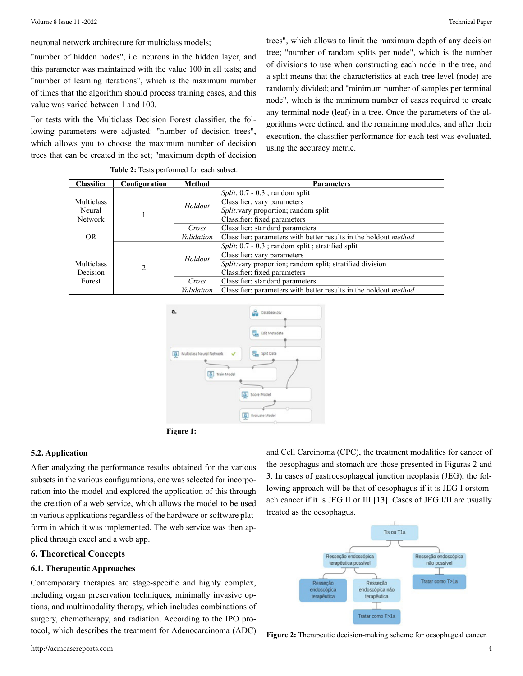neuronal network architecture for multiclass models;

"number of hidden nodes", i.e. neurons in the hidden layer, and this parameter was maintained with the value 100 in all tests; and "number of learning iterations", which is the maximum number of times that the algorithm should process training cases, and this value was varied between 1 and 100.

For tests with the Multiclass Decision Forest classifier, the following parameters were adjusted: "number of decision trees", which allows you to choose the maximum number of decision trees that can be created in the set; "maximum depth of decision trees", which allows to limit the maximum depth of any decision tree; "number of random splits per node", which is the number of divisions to use when constructing each node in the tree, and a split means that the characteristics at each tree level (node) are randomly divided; and "minimum number of samples per terminal node", which is the minimum number of cases required to create any terminal node (leaf) in a tree. Once the parameters of the algorithms were defined, and the remaining modules, and after their execution, the classifier performance for each test was evaluated, using the accuracy metric.

| <b>Classifier</b> | Configuration | Method     | <b>Parameters</b>                                                       |
|-------------------|---------------|------------|-------------------------------------------------------------------------|
|                   |               |            | <i>Split</i> : $0.7 - 0.3$ ; random split                               |
| Multiclass        |               | Holdout    | Classifier: vary parameters                                             |
| Neural            |               |            | Split: vary proportion; random split                                    |
| <b>Network</b>    |               |            | Classifier: fixed parameters                                            |
|                   |               | Cross      | Classifier: standard parameters                                         |
| OR.               |               | Validation | Classifier: parameters with better results in the holdout method        |
|                   |               |            | <i>Split</i> : $0.7 - 0.3$ ; random split; stratified split             |
|                   | 2             | Holdout    | Classifier: vary parameters                                             |
| Multiclass        |               |            | Split: vary proportion; random split; stratified division               |
| Decision          |               |            | Classifier: fixed parameters                                            |
| Forest            |               | Cross      | Classifier: standard parameters                                         |
|                   |               | Validation | Classifier: parameters with better results in the holdout <i>method</i> |

#### **Table 2:** Tests performed for each subset.





#### **5.2. Application**

After analyzing the performance results obtained for the various subsets in the various configurations, one was selected for incorporation into the model and explored the application of this through the creation of a web service, which allows the model to be used in various applications regardless of the hardware or software platform in which it was implemented. The web service was then applied through excel and a web app.

#### **6. Theoretical Concepts**

#### **6.1. Therapeutic Approaches**

Contemporary therapies are stage-specific and highly complex, including organ preservation techniques, minimally invasive options, and multimodality therapy, which includes combinations of surgery, chemotherapy, and radiation. According to the IPO protocol, which describes the treatment for Adenocarcinoma (ADC)

and Cell Carcinoma (CPC), the treatment modalities for cancer of the oesophagus and stomach are those presented in Figuras 2 and 3. In cases of gastroesophageal junction neoplasia (JEG), the following approach will be that of oesophagus if it is JEG I orstomach cancer if it is JEG II or III [13]. Cases of JEG I/II are usually treated as the oesophagus.



**Figure 2:** Therapeutic decision-making scheme for oesophageal cancer.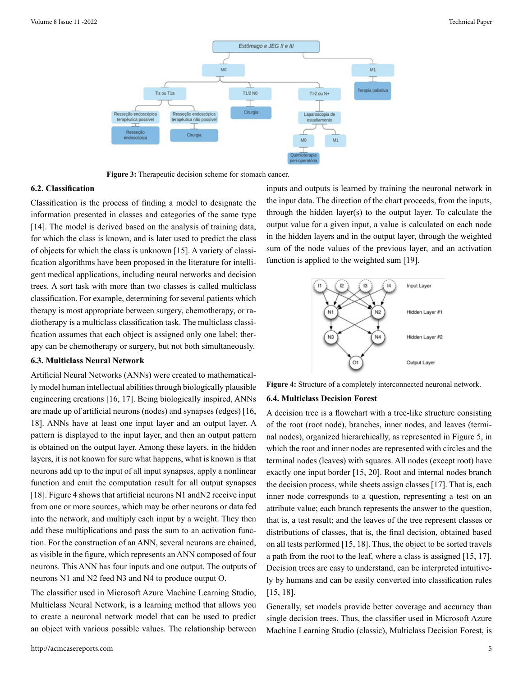

**Figure 3:** Therapeutic decision scheme for stomach cancer.

#### **6.2. Classification**

Classification is the process of finding a model to designate the information presented in classes and categories of the same type [14]. The model is derived based on the analysis of training data, for which the class is known, and is later used to predict the class of objects for which the class is unknown [15]. A variety of classification algorithms have been proposed in the literature for intelligent medical applications, including neural networks and decision trees. A sort task with more than two classes is called multiclass classification. For example, determining for several patients which therapy is most appropriate between surgery, chemotherapy, or radiotherapy is a multiclass classification task. The multiclass classification assumes that each object is assigned only one label: therapy can be chemotherapy or surgery, but not both simultaneously.

#### **6.3. Multiclass Neural Network**

Artificial Neural Networks (ANNs) were created to mathematically model human intellectual abilities through biologically plausible engineering creations [16, 17]. Being biologically inspired, ANNs are made up of artificial neurons (nodes) and synapses (edges) [16, 18]. ANNs have at least one input layer and an output layer. A pattern is displayed to the input layer, and then an output pattern is obtained on the output layer. Among these layers, in the hidden layers, it is not known for sure what happens, what is known is that neurons add up to the input of all input synapses, apply a nonlinear function and emit the computation result for all output synapses [18]. Figure 4 shows that artificial neurons N1 andN2 receive input from one or more sources, which may be other neurons or data fed into the network, and multiply each input by a weight. They then add these multiplications and pass the sum to an activation function. For the construction of an ANN, several neurons are chained, as visible in the figure, which represents an ANN composed of four neurons. This ANN has four inputs and one output. The outputs of neurons N1 and N2 feed N3 and N4 to produce output O.

The classifier used in Microsoft Azure Machine Learning Studio, Multiclass Neural Network, is a learning method that allows you to create a neuronal network model that can be used to predict an object with various possible values. The relationship between

inputs and outputs is learned by training the neuronal network in the input data. The direction of the chart proceeds, from the inputs, through the hidden layer(s) to the output layer. To calculate the output value for a given input, a value is calculated on each node in the hidden layers and in the output layer, through the weighted sum of the node values of the previous layer, and an activation function is applied to the weighted sum [19].



**Figure 4:** Structure of a completely interconnected neuronal network.

#### **6.4. Multiclass Decision Forest**

A decision tree is a flowchart with a tree-like structure consisting of the root (root node), branches, inner nodes, and leaves (terminal nodes), organized hierarchically, as represented in Figure 5, in which the root and inner nodes are represented with circles and the terminal nodes (leaves) with squares. All nodes (except root) have exactly one input border [15, 20]. Root and internal nodes branch the decision process, while sheets assign classes [17]. That is, each inner node corresponds to a question, representing a test on an attribute value; each branch represents the answer to the question, that is, a test result; and the leaves of the tree represent classes or distributions of classes, that is, the final decision, obtained based on all tests performed [15, 18]. Thus, the object to be sorted travels a path from the root to the leaf, where a class is assigned [15, 17]. Decision trees are easy to understand, can be interpreted intuitively by humans and can be easily converted into classification rules [15, 18].

Generally, set models provide better coverage and accuracy than single decision trees. Thus, the classifier used in Microsoft Azure Machine Learning Studio (classic), Multiclass Decision Forest, is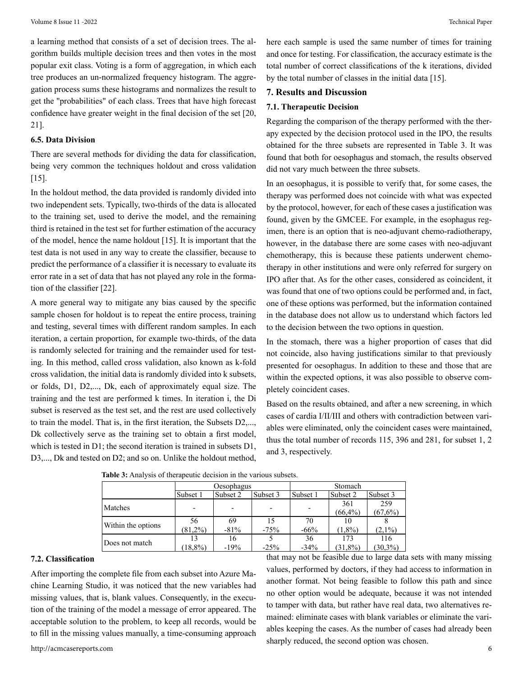a learning method that consists of a set of decision trees. The algorithm builds multiple decision trees and then votes in the most popular exit class. Voting is a form of aggregation, in which each tree produces an un-normalized frequency histogram. The aggregation process sums these histograms and normalizes the result to get the "probabilities" of each class. Trees that have high forecast confidence have greater weight in the final decision of the set [20, 21].

#### **6.5. Data Division**

There are several methods for dividing the data for classification, being very common the techniques holdout and cross validation [15].

In the holdout method, the data provided is randomly divided into two independent sets. Typically, two-thirds of the data is allocated to the training set, used to derive the model, and the remaining third is retained in the test set for further estimation of the accuracy of the model, hence the name holdout [15]. It is important that the test data is not used in any way to create the classifier, because to predict the performance of a classifier it is necessary to evaluate its error rate in a set of data that has not played any role in the formation of the classifier [22].

A more general way to mitigate any bias caused by the specific sample chosen for holdout is to repeat the entire process, training and testing, several times with different random samples. In each iteration, a certain proportion, for example two-thirds, of the data is randomly selected for training and the remainder used for testing. In this method, called cross validation, also known as k-fold cross validation, the initial data is randomly divided into k subsets, or folds, D1, D2,..., Dk, each of approximately equal size. The training and the test are performed k times. In iteration i, the Di subset is reserved as the test set, and the rest are used collectively to train the model. That is, in the first iteration, the Subsets D2,..., Dk collectively serve as the training set to obtain a first model, which is tested in D1; the second iteration is trained in subsets D1, D3,..., Dk and tested on D2; and so on. Unlike the holdout method,

here each sample is used the same number of times for training and once for testing. For classification, the accuracy estimate is the total number of correct classifications of the k iterations, divided by the total number of classes in the initial data [15].

#### **7. Results and Discussion**

#### **7.1. Therapeutic Decision**

Regarding the comparison of the therapy performed with the therapy expected by the decision protocol used in the IPO, the results obtained for the three subsets are represented in Table 3. It was found that both for oesophagus and stomach, the results observed did not vary much between the three subsets.

In an oesophagus, it is possible to verify that, for some cases, the therapy was performed does not coincide with what was expected by the protocol, however, for each of these cases a justification was found, given by the GMCEE. For example, in the esophagus regimen, there is an option that is neo-adjuvant chemo-radiotherapy, however, in the database there are some cases with neo-adjuvant chemotherapy, this is because these patients underwent chemotherapy in other institutions and were only referred for surgery on IPO after that. As for the other cases, considered as coincident, it was found that one of two options could be performed and, in fact, one of these options was performed, but the information contained in the database does not allow us to understand which factors led to the decision between the two options in question.

In the stomach, there was a higher proportion of cases that did not coincide, also having justifications similar to that previously presented for oesophagus. In addition to these and those that are within the expected options, it was also possible to observe completely coincident cases.

Based on the results obtained, and after a new screening, in which cases of cardia I/II/III and others with contradiction between variables were eliminated, only the coincident cases were maintained, thus the total number of records 115, 396 and 281, for subset 1, 2 and 3, respectively.

|                    | Oesophagus |          | Stomach  |          |                      |            |  |
|--------------------|------------|----------|----------|----------|----------------------|------------|--|
|                    | Subset 1   | Subset 2 | Subset 3 | Subset 1 | Subset 3<br>Subset 2 |            |  |
| Matches            |            |          |          |          | 361                  | 259        |  |
|                    |            |          |          |          | $(66, 4\%)$          | (67,6%)    |  |
|                    | 56         | 69       |          | 70       | 10                   |            |  |
| Within the options | $(81,2\%)$ | $-81%$   | $-75%$   | $-66%$   | $(1,8\%)$            | $(2.1\%)$  |  |
|                    | 13         | 16       |          | 36       | 173                  | 116        |  |
| Does not match     | (18,8%)    | $-19%$   | $-25%$   | $-34%$   | $(31,8\%)$           | $(30.3\%)$ |  |

**Table 3:** Analysis of therapeutic decision in the various subsets.

#### **7.2. Classification**

After importing the complete file from each subset into Azure Machine Learning Studio, it was noticed that the new variables had missing values, that is, blank values. Consequently, in the execution of the training of the model a message of error appeared. The acceptable solution to the problem, to keep all records, would be to fill in the missing values manually, a time-consuming approach

that may not be feasible due to large data sets with many missing values, performed by doctors, if they had access to information in another format. Not being feasible to follow this path and since no other option would be adequate, because it was not intended to tamper with data, but rather have real data, two alternatives remained: eliminate cases with blank variables or eliminate the variables keeping the cases. As the number of cases had already been sharply reduced, the second option was chosen.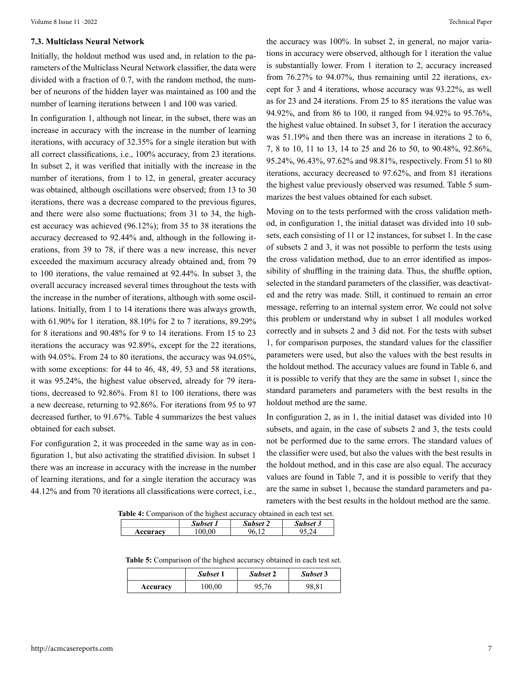#### **7.3. Multiclass Neural Network**

Initially, the holdout method was used and, in relation to the parameters of the Multiclass Neural Network classifier, the data were divided with a fraction of 0.7, with the random method, the number of neurons of the hidden layer was maintained as 100 and the number of learning iterations between 1 and 100 was varied.

In configuration 1, although not linear, in the subset, there was an increase in accuracy with the increase in the number of learning iterations, with accuracy of 32.35% for a single iteration but with all correct classifications, i.e., 100% accuracy, from 23 iterations. In subset 2, it was verified that initially with the increase in the number of iterations, from 1 to 12, in general, greater accuracy was obtained, although oscillations were observed; from 13 to 30 iterations, there was a decrease compared to the previous figures, and there were also some fluctuations; from 31 to 34, the highest accuracy was achieved (96.12%); from 35 to 38 iterations the accuracy decreased to 92.44% and, although in the following iterations, from 39 to 78, if there was a new increase, this never exceeded the maximum accuracy already obtained and, from 79 to 100 iterations, the value remained at 92.44%. In subset 3, the overall accuracy increased several times throughout the tests with the increase in the number of iterations, although with some oscillations. Initially, from 1 to 14 iterations there was always growth, with 61.90% for 1 iteration, 88.10% for 2 to 7 iterations, 89.29% for 8 iterations and 90.48% for 9 to 14 iterations. From 15 to 23 iterations the accuracy was 92.89%, except for the 22 iterations, with 94.05%. From 24 to 80 iterations, the accuracy was 94.05%, with some exceptions: for 44 to 46, 48, 49, 53 and 58 iterations, it was 95.24%, the highest value observed, already for 79 iterations, decreased to 92.86%. From 81 to 100 iterations, there was a new decrease, returning to 92.86%. For iterations from 95 to 97 decreased further, to 91.67%. Table 4 summarizes the best values obtained for each subset.

For configuration 2, it was proceeded in the same way as in configuration 1, but also activating the stratified division. In subset 1 there was an increase in accuracy with the increase in the number of learning iterations, and for a single iteration the accuracy was 44.12% and from 70 iterations all classifications were correct, i.e.,

the accuracy was 100%. In subset 2, in general, no major variations in accuracy were observed, although for 1 iteration the value is substantially lower. From 1 iteration to 2, accuracy increased from 76.27% to 94.07%, thus remaining until 22 iterations, except for 3 and 4 iterations, whose accuracy was 93.22%, as well as for 23 and 24 iterations. From 25 to 85 iterations the value was 94.92%, and from 86 to 100, it ranged from 94.92% to 95.76%, the highest value obtained. In subset 3, for 1 iteration the accuracy was 51.19% and then there was an increase in iterations 2 to 6, 7, 8 to 10, 11 to 13, 14 to 25 and 26 to 50, to 90.48%, 92.86%, 95.24%, 96.43%, 97.62% and 98.81%, respectively. From 51 to 80 iterations, accuracy decreased to 97.62%, and from 81 iterations the highest value previously observed was resumed. Table 5 summarizes the best values obtained for each subset.

Moving on to the tests performed with the cross validation method, in configuration 1, the initial dataset was divided into 10 subsets, each consisting of 11 or 12 instances, for subset 1. In the case of subsets 2 and 3, it was not possible to perform the tests using the cross validation method, due to an error identified as impossibility of shuffling in the training data. Thus, the shuffle option, selected in the standard parameters of the classifier, was deactivated and the retry was made. Still, it continued to remain an error message, referring to an internal system error. We could not solve this problem or understand why in subset 1 all modules worked correctly and in subsets 2 and 3 did not. For the tests with subset 1, for comparison purposes, the standard values for the classifier parameters were used, but also the values with the best results in the holdout method. The accuracy values are found in Table 6, and it is possible to verify that they are the same in subset 1, since the standard parameters and parameters with the best results in the holdout method are the same.

In configuration 2, as in 1, the initial dataset was divided into 10 subsets, and again, in the case of subsets 2 and 3, the tests could not be performed due to the same errors. The standard values of the classifier were used, but also the values with the best results in the holdout method, and in this case are also equal. The accuracy values are found in Table 7, and it is possible to verify that they are the same in subset 1, because the standard parameters and parameters with the best results in the holdout method are the same.

**Table 4:** Comparison of the highest accuracy obtained in each test set.

|          | <b>Subset</b> | Subset 2 | <b>Subset 3</b> |
|----------|---------------|----------|-----------------|
| Accuracy | ሰበ<br>ν       |          |                 |

**Table 5:** Comparison of the highest accuracy obtained in each test set.

|          | Subset 1 | Subset 2 | Subset 3 |
|----------|----------|----------|----------|
| Accuracy | 100,00   | 95,76    | 98,81    |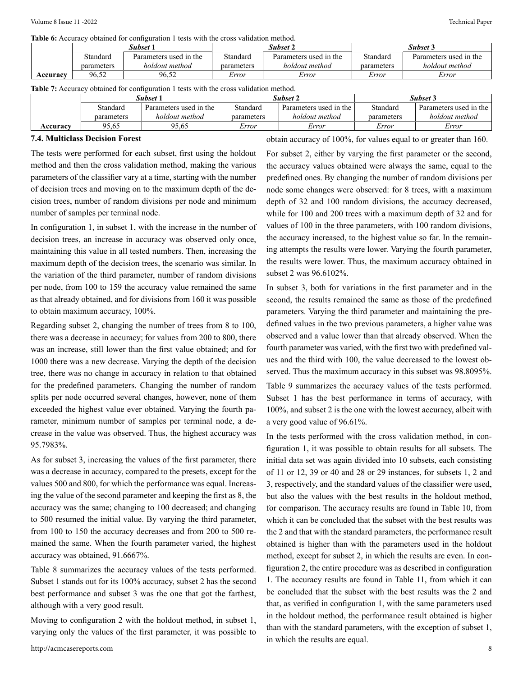**Table 6:** Accuracy obtained for configuration 1 tests with the cross validation method.

|          | Subset 1   |                        | Subset 2   |                        | Subset 3   |                        |
|----------|------------|------------------------|------------|------------------------|------------|------------------------|
|          | Standard   | Parameters used in the | Standard   | Parameters used in the | Standard   | Parameters used in the |
|          | parameters | holdout method         | parameters | holdout method         | parameters | holdout method         |
| Accuracv | 96.52      | 96.52                  | Error      | Error                  | Error      | Error                  |

**Table 7:** Accuracy obtained for configuration 1 tests with the cross validation method.

|          | Subset 1   |                        | Subset 2   |                        | Subset 3   |                        |
|----------|------------|------------------------|------------|------------------------|------------|------------------------|
|          | Standard   | Parameters used in the | Standard   | Parameters used in the | Standard   | Parameters used in the |
|          | parameters | holdout method         | parameters | holdout method         | parameters | holdout method         |
| Accuracv | 95.65      | 95.65                  | Error      | Error                  | Error      | Error                  |

#### **7.4. Multiclass Decision Forest**

The tests were performed for each subset, first using the holdout method and then the cross validation method, making the various parameters of the classifier vary at a time, starting with the number of decision trees and moving on to the maximum depth of the decision trees, number of random divisions per node and minimum number of samples per terminal node.

In configuration 1, in subset 1, with the increase in the number of decision trees, an increase in accuracy was observed only once, maintaining this value in all tested numbers. Then, increasing the maximum depth of the decision trees, the scenario was similar. In the variation of the third parameter, number of random divisions per node, from 100 to 159 the accuracy value remained the same as that already obtained, and for divisions from 160 it was possible to obtain maximum accuracy, 100%.

Regarding subset 2, changing the number of trees from 8 to 100, there was a decrease in accuracy; for values from 200 to 800, there was an increase, still lower than the first value obtained; and for 1000 there was a new decrease. Varying the depth of the decision tree, there was no change in accuracy in relation to that obtained for the predefined parameters. Changing the number of random splits per node occurred several changes, however, none of them exceeded the highest value ever obtained. Varying the fourth parameter, minimum number of samples per terminal node, a decrease in the value was observed. Thus, the highest accuracy was 95.7983%.

As for subset 3, increasing the values of the first parameter, there was a decrease in accuracy, compared to the presets, except for the values 500 and 800, for which the performance was equal. Increasing the value of the second parameter and keeping the first as 8, the accuracy was the same; changing to 100 decreased; and changing to 500 resumed the initial value. By varying the third parameter, from 100 to 150 the accuracy decreases and from 200 to 500 remained the same. When the fourth parameter varied, the highest accuracy was obtained, 91.6667%.

Table 8 summarizes the accuracy values of the tests performed. Subset 1 stands out for its 100% accuracy, subset 2 has the second best performance and subset 3 was the one that got the farthest, although with a very good result.

Moving to configuration 2 with the holdout method, in subset 1, varying only the values of the first parameter, it was possible to obtain accuracy of 100%, for values equal to or greater than 160.

For subset 2, either by varying the first parameter or the second, the accuracy values obtained were always the same, equal to the predefined ones. By changing the number of random divisions per node some changes were observed: for 8 trees, with a maximum depth of 32 and 100 random divisions, the accuracy decreased, while for 100 and 200 trees with a maximum depth of 32 and for values of 100 in the three parameters, with 100 random divisions, the accuracy increased, to the highest value so far. In the remaining attempts the results were lower. Varying the fourth parameter, the results were lower. Thus, the maximum accuracy obtained in subset 2 was 96.6102%.

In subset 3, both for variations in the first parameter and in the second, the results remained the same as those of the predefined parameters. Varying the third parameter and maintaining the predefined values in the two previous parameters, a higher value was observed and a value lower than that already observed. When the fourth parameter was varied, with the first two with predefined values and the third with 100, the value decreased to the lowest observed. Thus the maximum accuracy in this subset was 98.8095%. Table 9 summarizes the accuracy values of the tests performed. Subset 1 has the best performance in terms of accuracy, with 100%, and subset 2 is the one with the lowest accuracy, albeit with a very good value of 96.61%.

In the tests performed with the cross validation method, in configuration 1, it was possible to obtain results for all subsets. The initial data set was again divided into 10 subsets, each consisting of 11 or 12, 39 or 40 and 28 or 29 instances, for subsets 1, 2 and 3, respectively, and the standard values of the classifier were used, but also the values with the best results in the holdout method, for comparison. The accuracy results are found in Table 10, from which it can be concluded that the subset with the best results was the 2 and that with the standard parameters, the performance result obtained is higher than with the parameters used in the holdout method, except for subset 2, in which the results are even. In configuration 2, the entire procedure was as described in configuration 1. The accuracy results are found in Table 11, from which it can be concluded that the subset with the best results was the 2 and that, as verified in configuration 1, with the same parameters used in the holdout method, the performance result obtained is higher than with the standard parameters, with the exception of subset 1, in which the results are equal.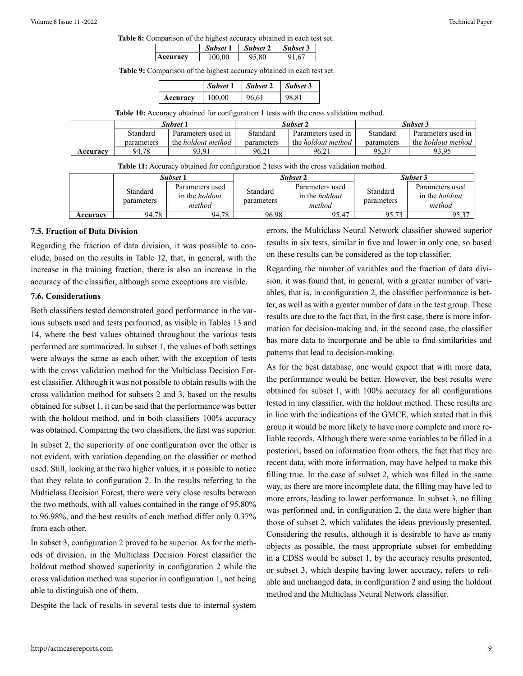**Table 8:** Comparison of the highest accuracy obtained in each test set.

|                       | Subset 1 | Subset 2 | Subset 3 |
|-----------------------|----------|----------|----------|
| <b>CHITACV</b><br>A C | 100.00   | ∵ Q∩     |          |

**Table 9:** Comparison of the highest accuracy obtained in each test set.

|          | Subset 1 | Subset 2 | $\vert$ Subset 3 |
|----------|----------|----------|------------------|
| Accuracy | 100,00   | 96.61    | 98.81            |

**Table 10:** Accuracy obtained for configuration 1 tests with the cross validation method.

|          | Subset 1<br>Parameters used in<br>Standard |                           |            | Subset 2                  | Subset 3   |                           |  |
|----------|--------------------------------------------|---------------------------|------------|---------------------------|------------|---------------------------|--|
|          |                                            |                           | Standard   | Parameters used in        | Standard   | Parameters used in        |  |
|          | parameters                                 | the <i>holdout</i> method | parameters | the <i>holdout</i> method | parameters | the <i>holdout</i> method |  |
| Accuracy | 94.78                                      | 93.91                     | 96.21      | 96.21                     | 95.37      | 93.95                     |  |

|  |  |  |  | Table 11: Accuracy obtained for configuration 2 tests with the cross validation method. |  |
|--|--|--|--|-----------------------------------------------------------------------------------------|--|
|--|--|--|--|-----------------------------------------------------------------------------------------|--|

|          | Subset 1               |                                                    |                        | Subset 2                                           | Subset 3               |                                                    |  |
|----------|------------------------|----------------------------------------------------|------------------------|----------------------------------------------------|------------------------|----------------------------------------------------|--|
|          | Standard<br>parameters | Parameters used<br>in the <i>holdout</i><br>method | Standard<br>parameters | Parameters used<br>in the <i>holdout</i><br>method | Standard<br>parameters | Parameters used<br>in the <i>holdout</i><br>method |  |
| Accuracv | 94,78                  | 94.78                                              | 96.98                  | 95.47                                              | O5 73                  | 95,37                                              |  |

#### **7.5. Fraction of Data Division**

Regarding the fraction of data division, it was possible to conclude, based on the results in Table 12, that, in general, with the increase in the training fraction, there is also an increase in the accuracy of the classifier, although some exceptions are visible.

#### **7.6. Considerations**

Both classifiers tested demonstrated good performance in the various subsets used and tests performed, as visible in Tables 13 and 14, where the best values obtained throughout the various tests performed are summarized. In subset 1, the values of both settings were always the same as each other, with the exception of tests with the cross validation method for the Multiclass Decision Forest classifier. Although it was not possible to obtain results with the cross validation method for subsets 2 and 3, based on the results obtained for subset 1, it can be said that the performance was better with the holdout method, and in both classifiers 100% accuracy was obtained. Comparing the two classifiers, the first was superior.

In subset 2, the superiority of one configuration over the other is not evident, with variation depending on the classifier or method used. Still, looking at the two higher values, it is possible to notice that they relate to configuration 2. In the results referring to the Multiclass Decision Forest, there were very close results between the two methods, with all values contained in the range of 95.80% to 96.98%, and the best results of each method differ only 0.37% from each other.

In subset 3, configuration 2 proved to be superior. As for the methods of division, in the Multiclass Decision Forest classifier the holdout method showed superiority in configuration 2 while the cross validation method was superior in configuration 1, not being able to distinguish one of them.

Despite the lack of results in several tests due to internal system

errors, the Multiclass Neural Network classifier showed superior results in six tests, similar in five and lower in only one, so based on these results can be considered as the top classifier.

Regarding the number of variables and the fraction of data division, it was found that, in general, with a greater number of variables, that is, in configuration 2, the classifier performance is better, as well as with a greater number of data in the test group. These results are due to the fact that, in the first case, there is more information for decision-making and, in the second case, the classifier has more data to incorporate and be able to find similarities and patterns that lead to decision-making.

As for the best database, one would expect that with more data, the performance would be better. However, the best results were obtained for subset 1, with 100% accuracy for all configurations tested in any classifier, with the holdout method. These results are in line with the indications of the GMCE, which stated that in this group it would be more likely to have more complete and more reliable records. Although there were some variables to be filled in a posteriori, based on information from others, the fact that they are recent data, with more information, may have helped to make this filling true. In the case of subset 2, which was filled in the same way, as there are more incomplete data, the filling may have led to more errors, leading to lower performance. In subset 3, no filling was performed and, in configuration 2, the data were higher than those of subset 2, which validates the ideas previously presented. Considering the results, although it is desirable to have as many objects as possible, the most appropriate subset for embedding in a CDSS would be subset 1, by the accuracy results presented, or subset 3, which despite having lower accuracy, refers to reliable and unchanged data, in configuration 2 and using the holdout method and the Multiclass Neural Network classifier.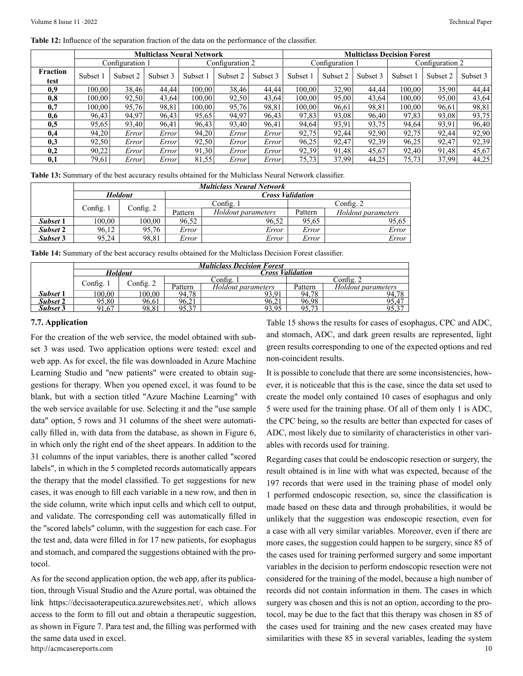**Table 12:** Influence of the separation fraction of the data on the performance of the classifier.

|                         |                 |          |          | <b>Multiclass Neural Network</b> |          | <b>Multiclass Decision Forest</b> |                 |          |          |          |                 |          |
|-------------------------|-----------------|----------|----------|----------------------------------|----------|-----------------------------------|-----------------|----------|----------|----------|-----------------|----------|
|                         | Configuration 1 |          |          | Configuration 2                  |          |                                   | Configuration 1 |          |          |          | Configuration 2 |          |
| <b>Fraction</b><br>test | Subset 1        | Subset 2 | Subset 3 | Subset                           | Subset 2 | Subset 3                          | Subset 1        | Subset 2 | Subset 3 | Subset 1 | Subset 2        | Subset 3 |
| 0,9                     | 100.00          | 38,46    | 44.44    | 100.00                           | 38.46    | 44.44                             | 100.00          | 32.90    | 44.44    | 100.00   | 35.90           | 44,44    |
| 0.8                     | 100.00          | 92,50    | 43,64    | 100.00                           | 92,50    | 43,64                             | 100.00          | 95,00    | 43,64    | 100.00   | 95,00           | 43,64    |
| 0,7                     | 100.00          | 95,76    | 98,81    | 100,00                           | 95,76    | 98,81                             | 100,00          | 96,61    | 98,81    | 100,00   | 96,61           | 98,81    |
| 0.6                     | 96.43           | 94,97    | 96.43    | 95,65                            | 94.97    | 96.43                             | 97,83           | 93.08    | 96.40    | 97,83    | 93.08           | 93,75    |
| 0,5                     | 95,65           | 93,40    | 96,41    | 96,43                            | 93.40    | 96,41                             | 94.64           | 93.91    | 93,75    | 94,64    | 93,91           | 96,40    |
| 0.4                     | 94,20           | Error    | Error    | 94,20                            | Error    | Error                             | 92,75           | 92,44    | 92,90    | 92,75    | 92,44           | 92,90    |
| 0,3                     | 92,50           | Error    | Error    | 92,50                            | Error    | Error                             | 96,25           | 92,47    | 92,39    | 96,25    | 92,47           | 92,39    |
| 0,2                     | 90,22           | Error    | Error    | 91,30                            | Error    | Error                             | 92,39           | 91,48    | 45,67    | 92,40    | 91,48           | 45,67    |
| 0,1                     | 79.61           | Error    | Error    | 81,55                            | Error    | Error                             | 75,73           | 37,99    | 44,25    | 75,73    | 37.99           | 44,25    |

**Table 13:** Summary of the best accuracy results obtained for the Multiclass Neural Network classifier.

|          | <b>Multiclass Neural Network</b> |                |         |                         |         |                    |  |  |  |
|----------|----------------------------------|----------------|---------|-------------------------|---------|--------------------|--|--|--|
|          |                                  | <b>Holdout</b> |         | <b>Cross Validation</b> |         |                    |  |  |  |
|          | Config. $1$                      |                |         | Config. 1               |         | Config. $2$        |  |  |  |
|          |                                  | Config. 2      | Pattern | Holdout parameters      | Pattern | Holdout parameters |  |  |  |
| Subset 1 | 100,00                           | 100.00         | 96,52   | 96,52                   | 95,65   | 95,65              |  |  |  |
| Subset 2 | 96,12                            | 95,76          | Error   | Error                   | Error   | Error              |  |  |  |
| Subset 3 | 95,24                            | 98.81          | Error   | Error                   | Error   | Error              |  |  |  |

**Table 14:** Summary of the best accuracy results obtained for the Multiclass Decision Forest classifier.

|                 | <b>Multiclass Decision Forest</b> |                |         |                         |            |                    |  |  |  |
|-----------------|-----------------------------------|----------------|---------|-------------------------|------------|--------------------|--|--|--|
|                 |                                   | <b>Holdout</b> |         | <b>Cross Validation</b> |            |                    |  |  |  |
|                 |                                   | Config. 2      |         | $\circ$ Config.         | Config.    |                    |  |  |  |
|                 | Config. $\lceil$                  |                | Pattern | Holdout parameters      | Pattern    | Holdout parameters |  |  |  |
| Subset 1        | 100.00                            | 100,00         | 94.78   | 93.91                   | 94.78      | 94.78              |  |  |  |
| <b>Subset 2</b> | 95.80                             | 96.61          | 96,21   | 96,21                   | 96,98      | 95,47              |  |  |  |
| <b>Subset 3</b> | 91.67                             | 98,81          | 05 37   | 93,95                   | 05.73<br>، | ה ה                |  |  |  |

#### **7.7. Application**

For the creation of the web service, the model obtained with subset 3 was used. Two application options were tested: excel and web app. As for excel, the file was downloaded in Azure Machine Learning Studio and "new patients" were created to obtain suggestions for therapy. When you opened excel, it was found to be blank, but with a section titled "Azure Machine Learning" with the web service available for use. Selecting it and the "use sample data" option, 5 rows and 31 columns of the sheet were automatically filled in, with data from the database, as shown in Figure 6, in which only the right end of the sheet appears. In addition to the 31 columns of the input variables, there is another called "scored labels", in which in the 5 completed records automatically appears the therapy that the model classified. To get suggestions for new cases, it was enough to fill each variable in a new row, and then in the side column, write which input cells and which cell to output, and validate. The corresponding cell was automatically filled in the "scored labels" column, with the suggestion for each case. For the test and, data were filled in for 17 new patients, for esophagus and stomach, and compared the suggestions obtained with the protocol.

http://acmcasereports.com 10 As for the second application option, the web app, after its publication, through Visual Studio and the Azure portal, was obtained the link https://decisaoterapeutica.azurewebsites.net/, which allows access to the form to fill out and obtain a therapeutic suggestion, as shown in Figure 7. Para test and, the filling was performed with the same data used in excel.

Table 15 shows the results for cases of esophagus, CPC and ADC, and stomach, ADC, and dark green results are represented, light green results corresponding to one of the expected options and red non-coincident results.

It is possible to conclude that there are some inconsistencies, however, it is noticeable that this is the case, since the data set used to create the model only contained 10 cases of esophagus and only 5 were used for the training phase. Of all of them only 1 is ADC, the CPC being, so the results are better than expected for cases of ADC, most likely due to similarity of characteristics in other variables with records used for training.

Regarding cases that could be endoscopic resection or surgery, the result obtained is in line with what was expected, because of the 197 records that were used in the training phase of model only 1 performed endoscopic resection, so, since the classification is made based on these data and through probabilities, it would be unlikely that the suggestion was endoscopic resection, even for a case with all very similar variables. Moreover, even if there are more cases, the suggestion could happen to be surgery, since 85 of the cases used for training performed surgery and some important variables in the decision to perform endoscopic resection were not considered for the training of the model, because a high number of records did not contain information in them. The cases in which surgery was chosen and this is not an option, according to the protocol, may be due to the fact that this therapy was chosen in 85 of the cases used for training and the new cases created may have similarities with these 85 in several variables, leading the system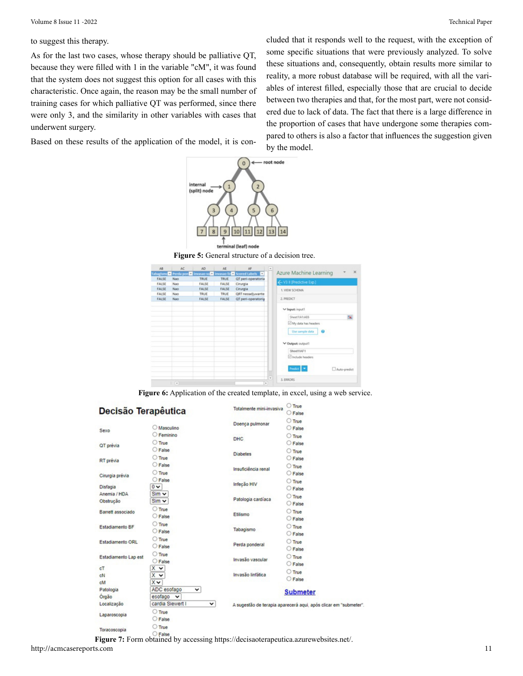to suggest this therapy.

As for the last two cases, whose therapy should be palliative QT, because they were filled with 1 in the variable "cM", it was found that the system does not suggest this option for all cases with this characteristic. Once again, the reason may be the small number of training cases for which palliative QT was performed, since there were only 3, and the similarity in other variables with cases that underwent surgery.

Based on these results of the application of the model, it is con-



**Figure 5:** General structure of a decision tree.



**Figure 6:** Application of the created template, in excel, using a web service.

| Decisão Terapêutica  |                                             | Totalmente mini-invasiva | O True<br>C False                                              |
|----------------------|---------------------------------------------|--------------------------|----------------------------------------------------------------|
| Sexo                 | Masculino                                   | Doença pulmonar          | $\bigcirc$ True<br>C False                                     |
|                      | <b>C</b> Feminino                           | <b>DHC</b>               | $O$ True                                                       |
| QT prévia            | $O$ True                                    |                          | $\bigcirc$ False                                               |
|                      | C False                                     | <b>Diabetes</b>          | $O$ True                                                       |
| RT prévia            | O True                                      |                          | C False                                                        |
|                      | $\bigcirc$ False                            | Insuficiência renal      | $O$ True                                                       |
| Cirurgia prévia      | $O$ True<br>$\bigcirc$ False                |                          | O False                                                        |
| Disfagia             | $0 -$                                       | Infeção HIV              | $\bigcirc$ True                                                |
| Anemia / HDA         | $Sim$ $\vee$                                |                          | O False                                                        |
| Obstrução            | $Sim$ $\vee$                                | Patologia cardiaca       | $\bigcirc$ True<br>O False                                     |
| Barrett associado    | $O$ True                                    |                          | $O$ True                                                       |
|                      | C False                                     | Etilismo                 | $O$ False                                                      |
| Estadiamento BF      | $O$ True                                    | Tabagismo                | $O$ True                                                       |
|                      | $\bigcirc$ False                            |                          | C False                                                        |
| Estadiamento ORL     | $\bigcirc$ True                             | Perda ponderal           | $O$ True                                                       |
|                      | ○ False                                     |                          | ○ False                                                        |
| Estadiamento Lap est | $\bigcirc$ True                             | Invasão vascular         | $O$ True                                                       |
| cT                   | $\bigcirc$ False<br>$x \vee$                |                          | $O$ False                                                      |
| cN                   | x<br>$\checkmark$                           | Invasão linfática        | $\bigcirc$ True                                                |
| cM                   | Xν                                          |                          | $\bigcirc$ False                                               |
| Patologia            | ADC esofago<br>v                            |                          |                                                                |
| Orgão                | esofago<br>$\checkmark$                     |                          | <b>Submeter</b>                                                |
| Localização          | cardia Siewert I<br>$\check{ }$             |                          | A sugestão de terapia aparecerá aqui, após clicar em "submeter |
| Laparoscopia         | $\bigcirc$ True<br>C False                  |                          |                                                                |
| Toracoscopia         | $\bigcirc$ True<br>$\bigcap_{n=1}^{\infty}$ |                          |                                                                |

**Figure 7:** Form obtained by accessing<https://decisaoterapeutica.azurewebsites.net/>.

some specific situations that were previously analyzed. To solve these situations and, consequently, obtain results more similar to reality, a more robust database will be required, with all the variables of interest filled, especially those that are crucial to decide between two therapies and that, for the most part, were not considered due to lack of data. The fact that there is a large difference in the proportion of cases that have undergone some therapies compared to others is also a factor that influences the suggestion given by the model.

cluded that it responds well to the request, with the exception of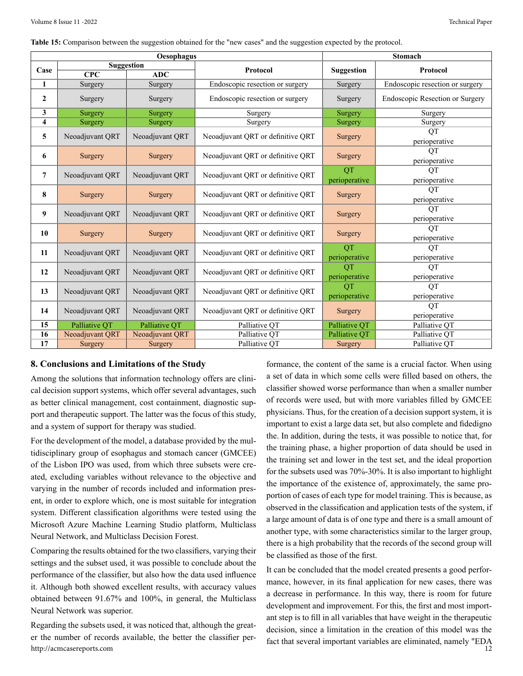**Table 15:** Comparison between the suggestion obtained for the "new cases" and the suggestion expected by the protocol.

|                         |                         | Oesophagus        |                                   |                            | <b>Stomach</b>                  |  |  |
|-------------------------|-------------------------|-------------------|-----------------------------------|----------------------------|---------------------------------|--|--|
| Case                    |                         | <b>Suggestion</b> | Protocol                          | <b>Suggestion</b>          | Protocol                        |  |  |
|                         | $\overline{\text{CPC}}$ | <b>ADC</b>        |                                   |                            |                                 |  |  |
| 1                       | Surgery                 | Surgery           | Endoscopic resection or surgery   | Surgery                    | Endoscopic resection or surgery |  |  |
| $\boldsymbol{2}$        | Surgery                 | Surgery           | Endoscopic resection or surgery   | Surgery                    | Endoscopic Resection or Surgery |  |  |
| $\mathbf{3}$            | Surgery                 | Surgery           | Surgery                           | Surgery                    | Surgery                         |  |  |
| $\overline{\mathbf{4}}$ | Surgery                 | Surgery           | Surgery                           | Surgery                    | Surgery                         |  |  |
| 5                       | Neoadjuvant QRT         | Neoadjuvant QRT   | Neoadjuvant QRT or definitive QRT | Surgery                    | <b>OT</b><br>perioperative      |  |  |
| 6                       | Surgery                 | Surgery           | Neoadjuvant QRT or definitive QRT | Surgery                    | <b>OT</b><br>perioperative      |  |  |
| $\overline{7}$          | Neoadjuvant QRT         | Neoadjuvant QRT   | Neoadjuvant QRT or definitive QRT | QT<br>perioperative        | <b>OT</b><br>perioperative      |  |  |
| 8                       | Surgery                 | Surgery           | Neoadjuvant QRT or definitive QRT | Surgery                    | <b>OT</b><br>perioperative      |  |  |
| 9                       | Neoadjuvant QRT         | Neoadjuvant QRT   | Neoadjuvant QRT or definitive QRT | Surgery                    | QT<br>perioperative             |  |  |
| 10                      | Surgery                 | Surgery           | Neoadjuvant QRT or definitive QRT | Surgery                    | QT<br>perioperative             |  |  |
| 11                      | Neoadjuvant QRT         | Neoadjuvant QRT   | Neoadjuvant QRT or definitive QRT | <b>OT</b><br>perioperative | QT<br>perioperative             |  |  |
| 12                      | Neoadjuvant QRT         | Neoadjuvant QRT   | Neoadjuvant QRT or definitive QRT | <b>OT</b><br>perioperative | QT<br>perioperative             |  |  |
| 13                      | Neoadjuvant QRT         | Neoadjuvant QRT   | Neoadjuvant QRT or definitive QRT | <b>OT</b><br>perioperative | <b>OT</b><br>perioperative      |  |  |
| 14                      | Neoadjuvant QRT         | Neoadjuvant QRT   | Neoadjuvant QRT or definitive QRT | Surgery                    | QT<br>perioperative             |  |  |
| 15                      | Palliative QT           | Palliative QT     | Palliative QT                     | Palliative QT              | Palliative QT                   |  |  |
| 16                      | Neoadjuvant QRT         | Neoadjuvant QRT   | Palliative QT                     | Palliative QT              | Palliative QT                   |  |  |
| 17                      | Surgery                 | Surgery           | Palliative QT                     | Surgery                    | Palliative QT                   |  |  |

#### **8. Conclusions and Limitations of the Study**

Among the solutions that information technology offers are clinical decision support systems, which offer several advantages, such as better clinical management, cost containment, diagnostic support and therapeutic support. The latter was the focus of this study, and a system of support for therapy was studied.

For the development of the model, a database provided by the multidisciplinary group of esophagus and stomach cancer (GMCEE) of the Lisbon IPO was used, from which three subsets were created, excluding variables without relevance to the objective and varying in the number of records included and information present, in order to explore which, one is most suitable for integration system. Different classification algorithms were tested using the Microsoft Azure Machine Learning Studio platform, Multiclass Neural Network, and Multiclass Decision Forest.

Comparing the results obtained for the two classifiers, varying their settings and the subset used, it was possible to conclude about the performance of the classifier, but also how the data used influence it. Although both showed excellent results, with accuracy values obtained between 91.67% and 100%, in general, the Multiclass Neural Network was superior.

http://acmcasereports.com 12 Regarding the subsets used, it was noticed that, although the greater the number of records available, the better the classifier per-

formance, the content of the same is a crucial factor. When using a set of data in which some cells were filled based on others, the classifier showed worse performance than when a smaller number of records were used, but with more variables filled by GMCEE physicians. Thus, for the creation of a decision support system, it is important to exist a large data set, but also complete and fidedigno the. In addition, during the tests, it was possible to notice that, for the training phase, a higher proportion of data should be used in the training set and lower in the test set, and the ideal proportion for the subsets used was 70%-30%. It is also important to highlight the importance of the existence of, approximately, the same proportion of cases of each type for model training. This is because, as observed in the classification and application tests of the system, if a large amount of data is of one type and there is a small amount of another type, with some characteristics similar to the larger group, there is a high probability that the records of the second group will be classified as those of the first.

It can be concluded that the model created presents a good performance, however, in its final application for new cases, there was a decrease in performance. In this way, there is room for future development and improvement. For this, the first and most important step is to fill in all variables that have weight in the therapeutic decision, since a limitation in the creation of this model was the fact that several important variables are eliminated, namely "EDA